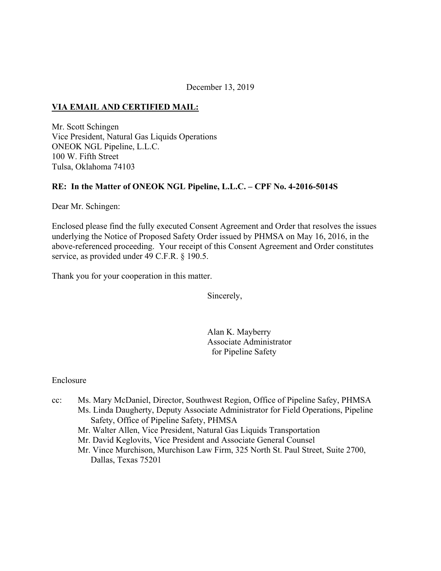December 13, 2019

#### **VIA EMAIL AND CERTIFIED MAIL:**

Mr. Scott Schingen Vice President, Natural Gas Liquids Operations ONEOK NGL Pipeline, L.L.C. 100 W. Fifth Street Tulsa, Oklahoma 74103

#### **RE: In the Matter of ONEOK NGL Pipeline, L.L.C. – CPF No. 4-2016-5014S**

Dear Mr. Schingen:

Enclosed please find the fully executed Consent Agreement and Order that resolves the issues underlying the Notice of Proposed Safety Order issued by PHMSA on May 16, 2016, in the above-referenced proceeding. Your receipt of this Consent Agreement and Order constitutes service, as provided under 49 C.F.R. § 190.5.

Thank you for your cooperation in this matter.

Sincerely,

Alan K. Mayberry Associate Administrator for Pipeline Safety

#### Enclosure

- cc: Ms. Mary McDaniel, Director, Southwest Region, Office of Pipeline Safey, PHMSA Ms. Linda Daugherty, Deputy Associate Administrator for Field Operations, Pipeline Safety, Office of Pipeline Safety, PHMSA
	- Mr. Walter Allen, Vice President, Natural Gas Liquids Transportation
	- Mr. David Keglovits, Vice President and Associate General Counsel
	- Mr. Vince Murchison, Murchison Law Firm, 325 North St. Paul Street, Suite 2700, Dallas, Texas 75201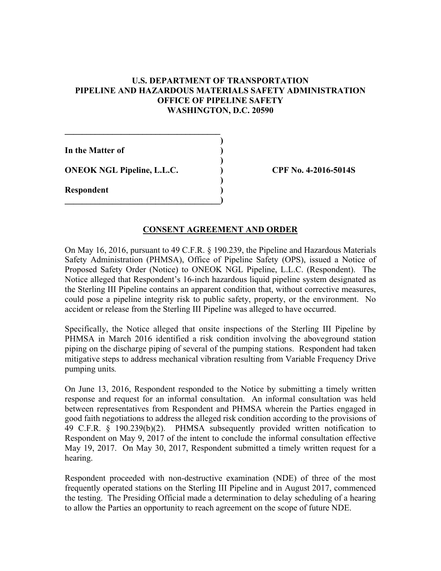#### **U.S. DEPARTMENT OF TRANSPORTATION PIPELINE AND HAZARDOUS MATERIALS SAFETY ADMINISTRATION OFFICE OF PIPELINE SAFETY WASHINGTON, D.C. 20590**

| In the Matter of                  |  |
|-----------------------------------|--|
| <b>ONEOK NGL Pipeline, L.L.C.</b> |  |
| <b>Respondent</b>                 |  |
|                                   |  |

**CPF No. 4-2016-5014S** 

#### **CONSENT AGREEMENT AND ORDER**

On May 16, 2016, pursuant to 49 C.F.R. § 190.239, the Pipeline and Hazardous Materials Safety Administration (PHMSA), Office of Pipeline Safety (OPS), issued a Notice of Proposed Safety Order (Notice) to ONEOK NGL Pipeline, L.L.C. (Respondent). The Notice alleged that Respondent's 16-inch hazardous liquid pipeline system designated as the Sterling III Pipeline contains an apparent condition that, without corrective measures, could pose a pipeline integrity risk to public safety, property, or the environment. No accident or release from the Sterling III Pipeline was alleged to have occurred.

Specifically, the Notice alleged that onsite inspections of the Sterling III Pipeline by PHMSA in March 2016 identified a risk condition involving the aboveground station piping on the discharge piping of several of the pumping stations. Respondent had taken mitigative steps to address mechanical vibration resulting from Variable Frequency Drive pumping units*.* 

 49 C.F.R. § 190.239(b)(2). PHMSA subsequently provided written notification to On June 13, 2016, Respondent responded to the Notice by submitting a timely written response and request for an informal consultation. An informal consultation was held between representatives from Respondent and PHMSA wherein the Parties engaged in good faith negotiations to address the alleged risk condition according to the provisions of Respondent on May 9, 2017 of the intent to conclude the informal consultation effective May 19, 2017. On May 30, 2017, Respondent submitted a timely written request for a hearing.

Respondent proceeded with non-destructive examination (NDE) of three of the most frequently operated stations on the Sterling III Pipeline and in August 2017, commenced the testing. The Presiding Official made a determination to delay scheduling of a hearing to allow the Parties an opportunity to reach agreement on the scope of future NDE.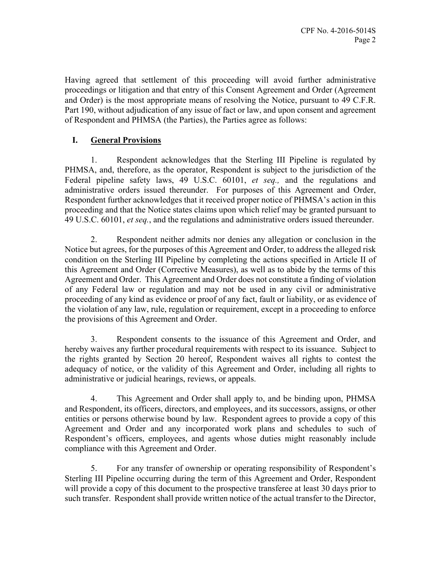Having agreed that settlement of this proceeding will avoid further administrative proceedings or litigation and that entry of this Consent Agreement and Order (Agreement and Order) is the most appropriate means of resolving the Notice, pursuant to 49 C.F.R. Part 190, without adjudication of any issue of fact or law, and upon consent and agreement of Respondent and PHMSA (the Parties), the Parties agree as follows:

# **I. General Provisions**

1. Respondent acknowledges that the Sterling III Pipeline is regulated by PHMSA, and, therefore, as the operator, Respondent is subject to the jurisdiction of the Federal pipeline safety laws, 49 U.S.C. 60101, *et seq.,* and the regulations and administrative orders issued thereunder. For purposes of this Agreement and Order, Respondent further acknowledges that it received proper notice of PHMSA's action in this proceeding and that the Notice states claims upon which relief may be granted pursuant to 49 U.S.C. 60101, *et seq.*, and the regulations and administrative orders issued thereunder.

2. Respondent neither admits nor denies any allegation or conclusion in the Notice but agrees, for the purposes of this Agreement and Order, to address the alleged risk condition on the Sterling III Pipeline by completing the actions specified in Article II of this Agreement and Order (Corrective Measures), as well as to abide by the terms of this Agreement and Order. This Agreement and Order does not constitute a finding of violation of any Federal law or regulation and may not be used in any civil or administrative proceeding of any kind as evidence or proof of any fact, fault or liability, or as evidence of the violation of any law, rule, regulation or requirement, except in a proceeding to enforce the provisions of this Agreement and Order.

3. Respondent consents to the issuance of this Agreement and Order, and hereby waives any further procedural requirements with respect to its issuance. Subject to the rights granted by Section 20 hereof, Respondent waives all rights to contest the adequacy of notice, or the validity of this Agreement and Order, including all rights to administrative or judicial hearings, reviews, or appeals.

4. This Agreement and Order shall apply to, and be binding upon, PHMSA and Respondent, its officers, directors, and employees, and its successors, assigns, or other entities or persons otherwise bound by law. Respondent agrees to provide a copy of this Agreement and Order and any incorporated work plans and schedules to such of Respondent's officers, employees, and agents whose duties might reasonably include compliance with this Agreement and Order.

5. For any transfer of ownership or operating responsibility of Respondent's Sterling III Pipeline occurring during the term of this Agreement and Order, Respondent will provide a copy of this document to the prospective transferee at least 30 days prior to such transfer. Respondent shall provide written notice of the actual transfer to the Director,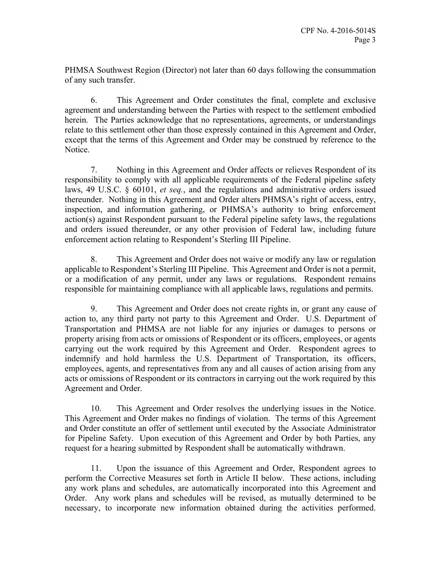PHMSA Southwest Region (Director) not later than 60 days following the consummation of any such transfer.

6. This Agreement and Order constitutes the final, complete and exclusive agreement and understanding between the Parties with respect to the settlement embodied herein. The Parties acknowledge that no representations, agreements, or understandings relate to this settlement other than those expressly contained in this Agreement and Order, except that the terms of this Agreement and Order may be construed by reference to the Notice.

7. Nothing in this Agreement and Order affects or relieves Respondent of its responsibility to comply with all applicable requirements of the Federal pipeline safety laws, 49 U.S.C. § 60101, *et seq.*, and the regulations and administrative orders issued thereunder. Nothing in this Agreement and Order alters PHMSA's right of access, entry, inspection, and information gathering, or PHMSA's authority to bring enforcement action(s) against Respondent pursuant to the Federal pipeline safety laws, the regulations and orders issued thereunder, or any other provision of Federal law, including future enforcement action relating to Respondent's Sterling III Pipeline.

8. This Agreement and Order does not waive or modify any law or regulation applicable to Respondent's Sterling III Pipeline. This Agreement and Order is not a permit, or a modification of any permit, under any laws or regulations. Respondent remains responsible for maintaining compliance with all applicable laws, regulations and permits.

9. This Agreement and Order does not create rights in, or grant any cause of action to, any third party not party to this Agreement and Order. U.S. Department of Transportation and PHMSA are not liable for any injuries or damages to persons or property arising from acts or omissions of Respondent or its officers, employees, or agents carrying out the work required by this Agreement and Order. Respondent agrees to indemnify and hold harmless the U.S. Department of Transportation, its officers, employees, agents, and representatives from any and all causes of action arising from any acts or omissions of Respondent or its contractors in carrying out the work required by this Agreement and Order.

10. This Agreement and Order resolves the underlying issues in the Notice. This Agreement and Order makes no findings of violation. The terms of this Agreement and Order constitute an offer of settlement until executed by the Associate Administrator for Pipeline Safety. Upon execution of this Agreement and Order by both Parties, any request for a hearing submitted by Respondent shall be automatically withdrawn.

11. Upon the issuance of this Agreement and Order, Respondent agrees to perform the Corrective Measures set forth in Article II below. These actions, including any work plans and schedules, are automatically incorporated into this Agreement and Order. Any work plans and schedules will be revised, as mutually determined to be necessary, to incorporate new information obtained during the activities performed.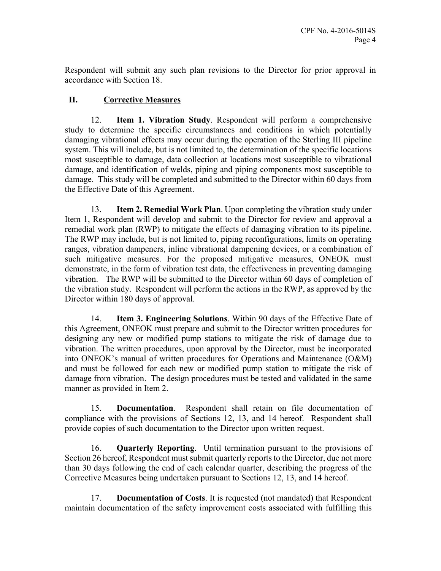Respondent will submit any such plan revisions to the Director for prior approval in accordance with Section 18.

# **II. Corrective Measures**

12. **Item 1. Vibration Study**. Respondent will perform a comprehensive study to determine the specific circumstances and conditions in which potentially damaging vibrational effects may occur during the operation of the Sterling III pipeline system. This will include, but is not limited to, the determination of the specific locations most susceptible to damage, data collection at locations most susceptible to vibrational damage, and identification of welds, piping and piping components most susceptible to damage. This study will be completed and submitted to the Director within 60 days from the Effective Date of this Agreement.

13. **Item 2. Remedial Work Plan**. Upon completing the vibration study under Item 1, Respondent will develop and submit to the Director for review and approval a remedial work plan (RWP) to mitigate the effects of damaging vibration to its pipeline. The RWP may include, but is not limited to, piping reconfigurations, limits on operating ranges, vibration dampeners, inline vibrational dampening devices, or a combination of such mitigative measures. For the proposed mitigative measures, ONEOK must demonstrate, in the form of vibration test data, the effectiveness in preventing damaging vibration. The RWP will be submitted to the Director within 60 days of completion of the vibration study. Respondent will perform the actions in the RWP, as approved by the Director within 180 days of approval.

14. **Item 3. Engineering Solutions**. Within 90 days of the Effective Date of this Agreement, ONEOK must prepare and submit to the Director written procedures for designing any new or modified pump stations to mitigate the risk of damage due to vibration. The written procedures, upon approval by the Director, must be incorporated into ONEOK's manual of written procedures for Operations and Maintenance (O&M) and must be followed for each new or modified pump station to mitigate the risk of damage from vibration. The design procedures must be tested and validated in the same manner as provided in Item 2.

15. **Documentation**. Respondent shall retain on file documentation of compliance with the provisions of Sections 12, 13, and 14 hereof. Respondent shall provide copies of such documentation to the Director upon written request.

16. **Quarterly Reporting**. Until termination pursuant to the provisions of Section 26 hereof, Respondent must submit quarterly reports to the Director, due not more than 30 days following the end of each calendar quarter, describing the progress of the Corrective Measures being undertaken pursuant to Sections 12, 13, and 14 hereof.

17. **Documentation of Costs**. It is requested (not mandated) that Respondent maintain documentation of the safety improvement costs associated with fulfilling this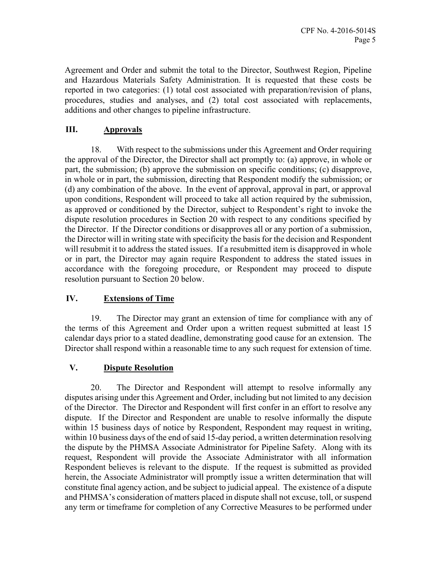Agreement and Order and submit the total to the Director, Southwest Region, Pipeline and Hazardous Materials Safety Administration. It is requested that these costs be reported in two categories: (1) total cost associated with preparation/revision of plans, procedures, studies and analyses, and (2) total cost associated with replacements, additions and other changes to pipeline infrastructure.

# **III. Approvals**

18. With respect to the submissions under this Agreement and Order requiring the approval of the Director, the Director shall act promptly to: (a) approve, in whole or part, the submission; (b) approve the submission on specific conditions; (c) disapprove, in whole or in part, the submission, directing that Respondent modify the submission; or (d) any combination of the above. In the event of approval, approval in part, or approval upon conditions, Respondent will proceed to take all action required by the submission, as approved or conditioned by the Director, subject to Respondent's right to invoke the dispute resolution procedures in Section 20 with respect to any conditions specified by the Director. If the Director conditions or disapproves all or any portion of a submission, the Director will in writing state with specificity the basis for the decision and Respondent will resubmit it to address the stated issues. If a resubmitted item is disapproved in whole or in part, the Director may again require Respondent to address the stated issues in accordance with the foregoing procedure, or Respondent may proceed to dispute resolution pursuant to Section 20 below.

## **IV. Extensions of Time**

19. The Director may grant an extension of time for compliance with any of the terms of this Agreement and Order upon a written request submitted at least 15 calendar days prior to a stated deadline, demonstrating good cause for an extension. The Director shall respond within a reasonable time to any such request for extension of time.

## **V. Dispute Resolution**

20. The Director and Respondent will attempt to resolve informally any disputes arising under this Agreement and Order, including but not limited to any decision of the Director. The Director and Respondent will first confer in an effort to resolve any dispute. If the Director and Respondent are unable to resolve informally the dispute within 15 business days of notice by Respondent, Respondent may request in writing, within 10 business days of the end of said 15-day period, a written determination resolving the dispute by the PHMSA Associate Administrator for Pipeline Safety. Along with its request, Respondent will provide the Associate Administrator with all information Respondent believes is relevant to the dispute. If the request is submitted as provided herein, the Associate Administrator will promptly issue a written determination that will constitute final agency action, and be subject to judicial appeal. The existence of a dispute and PHMSA's consideration of matters placed in dispute shall not excuse, toll, or suspend any term or timeframe for completion of any Corrective Measures to be performed under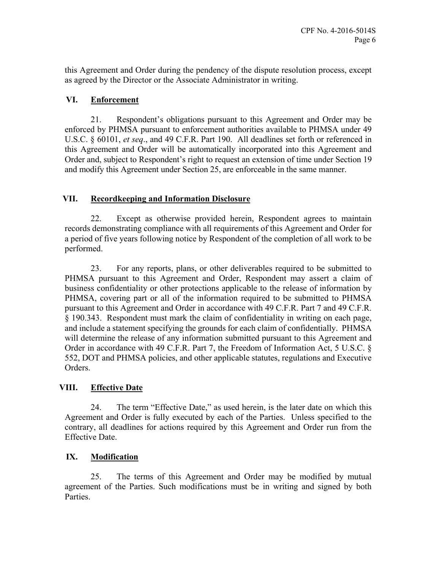this Agreement and Order during the pendency of the dispute resolution process, except as agreed by the Director or the Associate Administrator in writing.

#### **VI. Enforcement**

21. Respondent's obligations pursuant to this Agreement and Order may be enforced by PHMSA pursuant to enforcement authorities available to PHMSA under 49 U.S.C. § 60101, *et seq*., and 49 C.F.R. Part 190. All deadlines set forth or referenced in this Agreement and Order will be automatically incorporated into this Agreement and Order and, subject to Respondent's right to request an extension of time under Section 19 and modify this Agreement under Section 25, are enforceable in the same manner.

## **VII. Recordkeeping and Information Disclosure**

22. Except as otherwise provided herein, Respondent agrees to maintain records demonstrating compliance with all requirements of this Agreement and Order for a period of five years following notice by Respondent of the completion of all work to be performed.

23. For any reports, plans, or other deliverables required to be submitted to PHMSA pursuant to this Agreement and Order, Respondent may assert a claim of business confidentiality or other protections applicable to the release of information by PHMSA, covering part or all of the information required to be submitted to PHMSA pursuant to this Agreement and Order in accordance with 49 C.F.R. Part 7 and 49 C.F.R. § 190.343. Respondent must mark the claim of confidentiality in writing on each page, and include a statement specifying the grounds for each claim of confidentially. PHMSA will determine the release of any information submitted pursuant to this Agreement and Order in accordance with 49 C.F.R. Part 7, the Freedom of Information Act, 5 U.S.C. § 552, DOT and PHMSA policies, and other applicable statutes, regulations and Executive Orders.

## **VIII. Effective Date**

24. The term "Effective Date," as used herein, is the later date on which this Agreement and Order is fully executed by each of the Parties. Unless specified to the contrary, all deadlines for actions required by this Agreement and Order run from the Effective Date.

## **IX. Modification**

25. The terms of this Agreement and Order may be modified by mutual agreement of the Parties. Such modifications must be in writing and signed by both Parties.